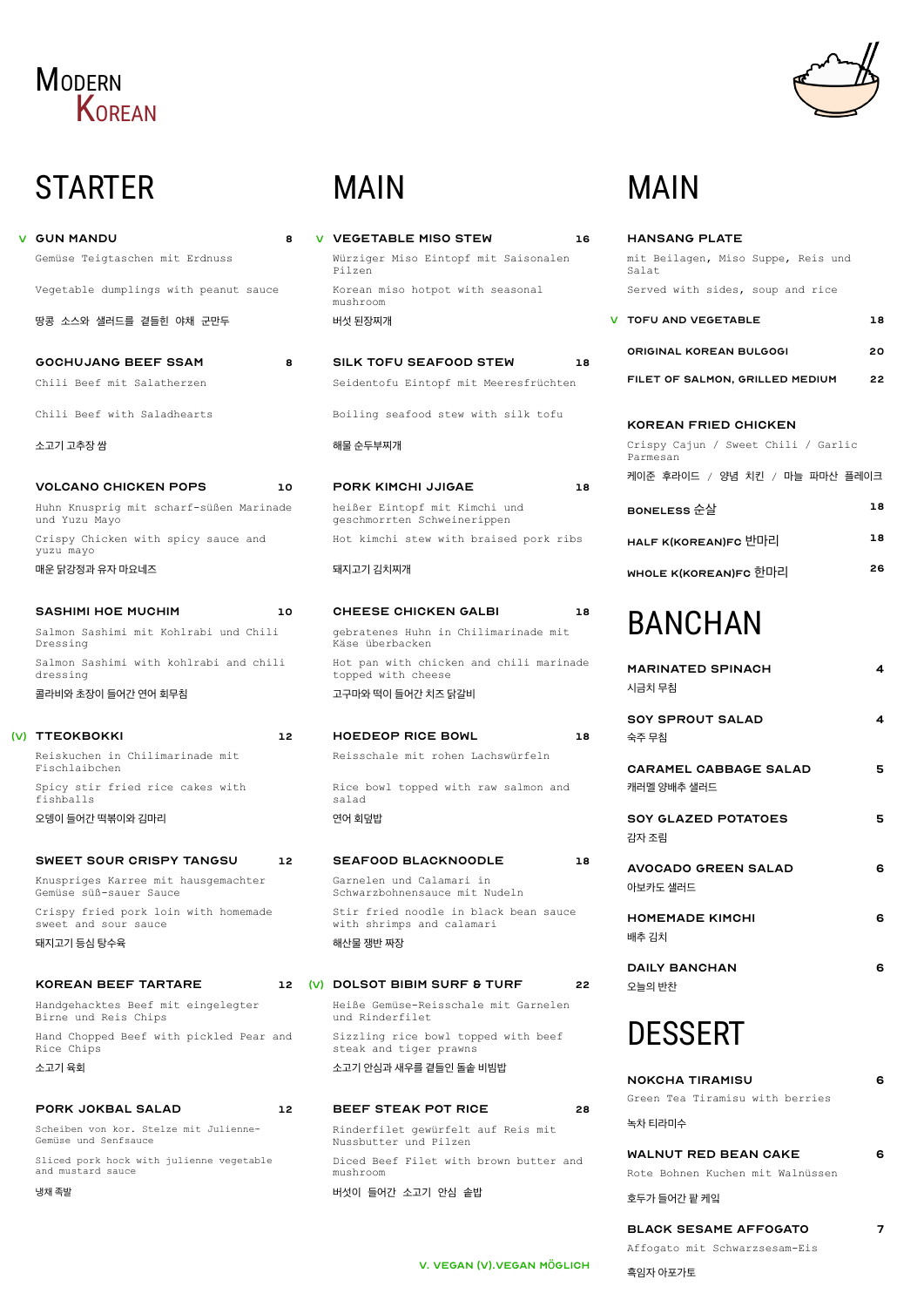### **MODERN KOREAN**

# **STARTER**

|     | <b>V GUN MANDU</b><br>8                                  |  |  |
|-----|----------------------------------------------------------|--|--|
|     | Gemüse Teigtaschen mit Erdnuss                           |  |  |
|     | Vegetable dumplings with peanut sauce                    |  |  |
|     | 땅콩 소스와 샐러드를 곁들힌 야채 군만두                                   |  |  |
|     | <b>GOCHUJANG BEEF SSAM</b><br>8                          |  |  |
|     | Chili Beef mit Salatherzen                               |  |  |
|     | Chili Beef with Saladhearts                              |  |  |
|     | 소고기 고추장 쌈                                                |  |  |
|     | <b>VOLCANO CHICKEN POPS</b>                              |  |  |
|     | 10                                                       |  |  |
|     | Huhn Knusprig mit scharf-süßen Marinade<br>und Yuzu Mayo |  |  |
|     | Crispy Chicken with spicy sauce and<br>yuzu mayo         |  |  |
|     | 매운 닭강정과 유자 마요네즈                                          |  |  |
|     | <b>SASHIMI HOE MUCHIM</b><br>10                          |  |  |
|     | Salmon Sashimi mit Kohlrabi und Chili<br>Dressing        |  |  |
|     | Salmon Sashimi with kohlrabi and chili<br>dressing       |  |  |
|     | 콜라비와 초장이 들어간 연어 회무침                                      |  |  |
|     |                                                          |  |  |
| (V) | <b>TTEOKBOKKI</b><br>12                                  |  |  |
|     | Reiskuchen in Chilimarinade mit<br>Fischlaibchen         |  |  |
|     | Spicy stir fried rice cakes with<br>fishballs            |  |  |

Knuspriges Karree mit hausgemachter<br>Comüae süßesauer Sause Gemüse süß-sauer Sauce

오뎅이 들어간 떡볶이와 김마리

#### sweet sour crispy tangsu 12

Crispy fried pork loin with homemade sweet and sour sauce

돼지고기 등심 탕수육

KOREAN BEEF TARTARE

Handgehacktes Beef mit eingelegter Birne und Reis Chips

Hand Chopped Beef with pickled Pear and Rice Chips

소고기 육회

#### pork jokbal salad 12

Scheiben von kor. Stelze mit Julienne-Gemüse und Senfsauce

Sliced pork hock with julienne vegetable and mustard sauce

냉채 족발

### 12 (V) DOLSOT BIBIM SURF & TURF 22

## MAIN

| <b>HANSANG PLATE</b>                            |    |
|-------------------------------------------------|----|
| mit Beilagen, Miso Suppe, Reis und<br>Salat     |    |
| Served with sides, soup and rice                |    |
| V TOFU AND VEGETABLE                            | 18 |
| <b>ORIGINAL KOREAN BULGOGI</b>                  | 20 |
| FILET OF SALMON, GRILLED MEDIUM                 | 22 |
| <b>KOREAN FRIED CHICKEN</b>                     |    |
| Crispy Cajun / Sweet Chili / Garlic<br>Parmesan |    |
| 케이준 후라이드 / 양념 치킨 / 마늘 파마산 플레이크                  |    |
| BONELESS 순살                                     | 18 |
| HALF K(KOREAN)FC 반마리                            | 18 |
| <b>WHOLE K(KOREAN)FC 한마리</b>                    | 26 |
| BANCHAN                                         |    |
| <b>MARINATED SPINACH</b><br>시금치 무침              | 4  |
| <b>SOY SPROUT SALAD</b><br>숙주 무침                | 4  |
| <b>CARAMEL CABBAGE SALAD</b><br>캐러멜 양배추 샐러드     | 5  |
| <b>SOY GLAZED POTATOES</b><br>감자 조림             | 5  |
| <b>AVOCADO GREEN SALAD</b><br>아보카도 샐러드          | 6  |
| <b>HOMEMADE KIMCHI</b><br>배추 김치                 | 6  |
| <b>DAILY BANCHAN</b>                            | 6  |

#### 오늘의 반찬

### DESSERT

#### nokcha Tiramisu 6

Green Tea Tiramisu with berries

녹차 티라미수

#### WALNUT RED BEAN CAKE 6

Rote Bohnen Kuchen mit Walnüssen

호두가 들어간 팥 케잌

### BLACK SESAME AFFOGATO 7

Affogato mit Schwarzsesam-Eis

흑임자 아포가토

# MAIN

| <b>V VEGETABLE MISO STEW</b>                                       | 16 |
|--------------------------------------------------------------------|----|
| Würziger Miso Eintopf mit Saisonalen<br>Pilzen                     |    |
| Korean miso hotpot with seasonal<br>mushroom                       |    |
| 버섯 된장찌개                                                            |    |
| <b>SILK TOFU SEAFOOD STEW</b>                                      | 18 |
| Seidentofu Eintopf mit Meeresfrüchten                              |    |
| Boiling seafood stew with silk tofu                                |    |
| 해물 순두부찌개                                                           |    |
| PORK KIMCHI JJIGAE                                                 | 18 |
| heißer Eintopf mit Kimchi und<br>geschmorrten Schweinerippen       |    |
| Hot kimchi stew with braised pork ribs                             |    |
| 돼지고기 김치찌개                                                          |    |
| <b>CHEESE CHICKEN GALBI</b>                                        | 18 |
| gebratenes Huhn in Chilimarinade mit<br>Käse überbacken            |    |
| Hot pan with chicken and chili marinade<br>topped with cheese      |    |
| 고구마와 떡이 들어간 치즈 닭갈비                                                 |    |
| <b>HOEDEOP RICE BOWL</b>                                           | 18 |
| Reisschale mit rohen Lachswürfeln                                  |    |
| Rice bowl topped with raw salmon and<br>salad                      |    |
| 연어 회덮밥                                                             |    |
| <b>SEAFOOD BLACKNOODLE</b>                                         | 18 |
| Garnelen und Calamari in                                           |    |
| Schwarzbohnensauce mit Nudeln                                      |    |
| Stir fried noodle in black bean sauce<br>with shrimps and calamari |    |

Heiße Gemüse-Reisschale mit Garnelen und Rinderfilet

Sizzling rice bowl topped with beef steak and tiger prawns

소고기 안심과 새우를 곁들인 돌솥 비빔밥

#### BEEF STEAK POT RICE 28

Rinderfilet gewürfelt auf Reis mit Nussbutter und Pilzen

Diced Beef Filet with brown butter and mushroom

버섯이 들어간 소고기 안심 솥밥

### v. Vegan (v).vegan möglich